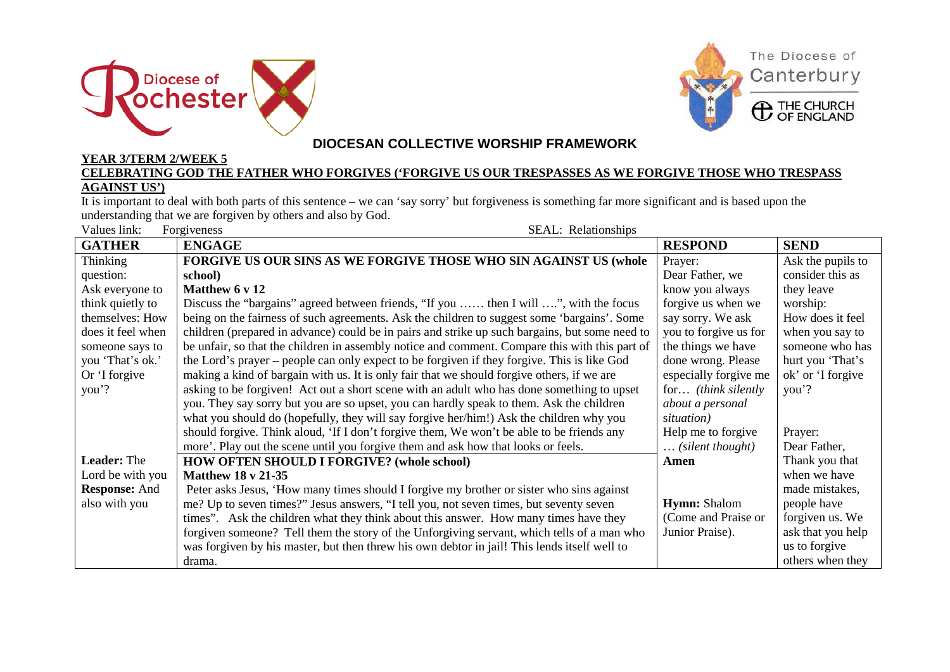



## **DIOCESAN COLLECTIVE WORSHIP FRAMEWORK**

## **YEAR 3/TERM 2/WEEK 5 CELEBRATING GOD THE FATHER WHO FORGIVES ('FORGIVE US OUR TRESPASSES AS WE FORGIVE THOSE WHO TRESPASS AGAINST US')**

It is important to deal with both parts of this sentence – we can 'say sorry' but forgiveness is something far more significant and is based upon the understanding that we are forgiven by others and also by God.

| Values link:<br>Forgiveness<br>SEAL: Relationships |                                                                                                |                           |                   |
|----------------------------------------------------|------------------------------------------------------------------------------------------------|---------------------------|-------------------|
| <b>GATHER</b>                                      | <b>ENGAGE</b>                                                                                  | <b>RESPOND</b>            | <b>SEND</b>       |
| Thinking                                           | FORGIVE US OUR SINS AS WE FORGIVE THOSE WHO SIN AGAINST US (whole                              | Prayer:                   | Ask the pupils to |
| question:                                          | school)                                                                                        | Dear Father, we           | consider this as  |
| Ask everyone to                                    | Matthew 6 v 12                                                                                 | know you always           | they leave        |
| think quietly to                                   | Discuss the "bargains" agreed between friends, "If you  then I will ", with the focus          | forgive us when we        | worship:          |
| themselves: How                                    | being on the fairness of such agreements. Ask the children to suggest some 'bargains'. Some    | say sorry. We ask         | How does it feel  |
| does it feel when                                  | children (prepared in advance) could be in pairs and strike up such bargains, but some need to | you to forgive us for     | when you say to   |
| someone says to                                    | be unfair, so that the children in assembly notice and comment. Compare this with this part of | the things we have        | someone who has   |
| you 'That's ok.'                                   | the Lord's prayer – people can only expect to be forgiven if they forgive. This is like God    | done wrong. Please        | hurt you 'That's  |
| Or 'I forgive                                      | making a kind of bargain with us. It is only fair that we should forgive others, if we are     | especially forgive me     | ok' or 'I forgive |
| you'?                                              | asking to be forgiven! Act out a short scene with an adult who has done something to upset     | for (think silently       | you'?             |
|                                                    | you. They say sorry but you are so upset, you can hardly speak to them. Ask the children       | about a personal          |                   |
|                                                    | what you should do (hopefully, they will say forgive her/him!) Ask the children why you        | situation)                |                   |
|                                                    | should forgive. Think aloud, 'If I don't forgive them, We won't be able to be friends any      | Help me to forgive        | Prayer:           |
|                                                    | more'. Play out the scene until you forgive them and ask how that looks or feels.              | $\ldots$ (silent thought) | Dear Father,      |
| <b>Leader:</b> The                                 | <b>HOW OFTEN SHOULD I FORGIVE? (whole school)</b>                                              | Amen                      | Thank you that    |
| Lord be with you                                   | <b>Matthew 18 v 21-35</b>                                                                      |                           | when we have      |
| <b>Response: And</b>                               | Peter asks Jesus, 'How many times should I forgive my brother or sister who sins against       |                           | made mistakes,    |
| also with you                                      | me? Up to seven times?" Jesus answers, "I tell you, not seven times, but seventy seven         | <b>Hymn:</b> Shalom       | people have       |
|                                                    | times". Ask the children what they think about this answer. How many times have they           | (Come and Praise or       | forgiven us. We   |
|                                                    | forgiven someone? Tell them the story of the Unforgiving servant, which tells of a man who     | Junior Praise).           | ask that you help |
|                                                    | was forgiven by his master, but then threw his own debtor in jail! This lends itself well to   |                           | us to forgive     |
|                                                    | drama.                                                                                         |                           | others when they  |